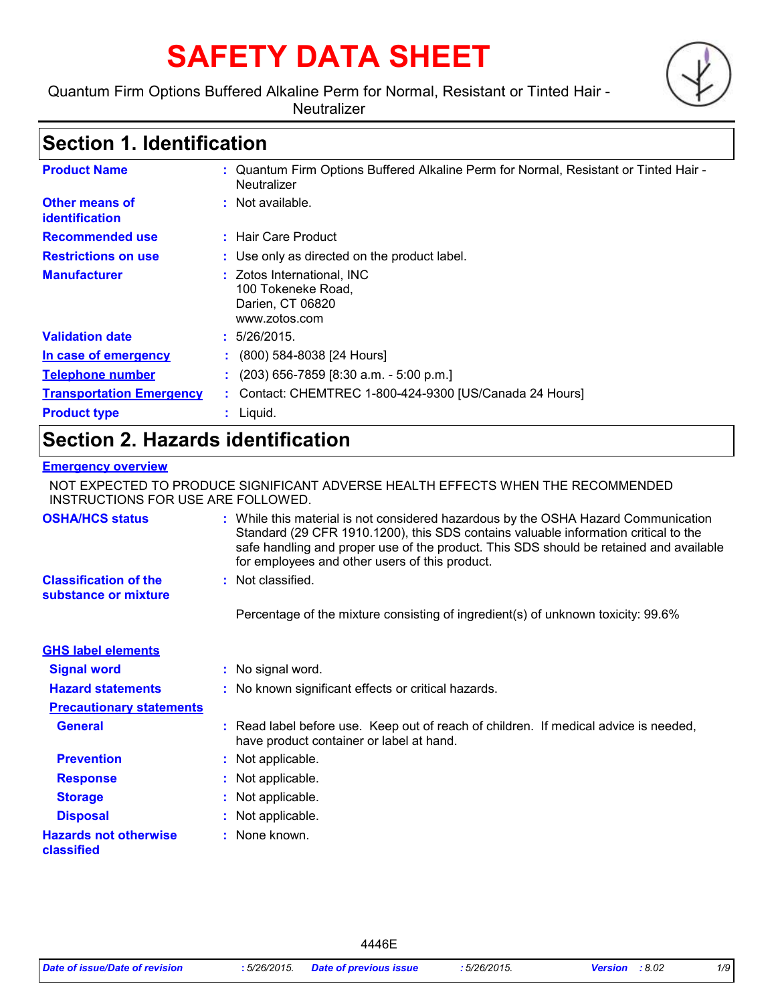# **SAFETY DATA SHEET**

Quantum Firm Options Buffered Alkaline Perm for Normal, Resistant or Tinted Hair -

**Neutralizer** 

### **Section 1. Identification**

| <b>Product Name</b>                     | : Quantum Firm Options Buffered Alkaline Perm for Normal, Resistant or Tinted Hair -<br>Neutralizer |
|-----------------------------------------|-----------------------------------------------------------------------------------------------------|
| <b>Other means of</b><br>identification | : Not available.                                                                                    |
| <b>Recommended use</b>                  | : Hair Care Product                                                                                 |
| <b>Restrictions on use</b>              | : Use only as directed on the product label.                                                        |
| <b>Manufacturer</b>                     | : Zotos International, INC<br>100 Tokeneke Road,<br>Darien, CT 06820<br>www.zotos.com               |
| <b>Validation date</b>                  | : 5/26/2015.                                                                                        |
| In case of emergency                    | (800) 584-8038 [24 Hours]                                                                           |
| <b>Telephone number</b>                 | $(203)$ 656-7859 [8:30 a.m. - 5:00 p.m.]                                                            |
| <b>Transportation Emergency</b>         | : Contact: CHEMTREC 1-800-424-9300 [US/Canada 24 Hours]                                             |
| <b>Product type</b>                     | $:$ Liquid.                                                                                         |

## **Section 2. Hazards identification**

#### **Emergency overview**

NOT EXPECTED TO PRODUCE SIGNIFICANT ADVERSE HEALTH EFFECTS WHEN THE RECOMMENDED INSTRUCTIONS FOR USE ARE FOLLOWED.

| <b>OSHA/HCS status</b><br><b>Classification of the</b> | : While this material is not considered hazardous by the OSHA Hazard Communication<br>Standard (29 CFR 1910.1200), this SDS contains valuable information critical to the<br>safe handling and proper use of the product. This SDS should be retained and available<br>for employees and other users of this product.<br>: Not classified. |
|--------------------------------------------------------|--------------------------------------------------------------------------------------------------------------------------------------------------------------------------------------------------------------------------------------------------------------------------------------------------------------------------------------------|
| substance or mixture                                   |                                                                                                                                                                                                                                                                                                                                            |
|                                                        | Percentage of the mixture consisting of ingredient(s) of unknown toxicity: 99.6%                                                                                                                                                                                                                                                           |
| <b>GHS label elements</b>                              |                                                                                                                                                                                                                                                                                                                                            |
| <b>Signal word</b>                                     | : No signal word.                                                                                                                                                                                                                                                                                                                          |
| <b>Hazard statements</b>                               | : No known significant effects or critical hazards.                                                                                                                                                                                                                                                                                        |
| <b>Precautionary statements</b>                        |                                                                                                                                                                                                                                                                                                                                            |
| <b>General</b>                                         | : Read label before use. Keep out of reach of children. If medical advice is needed,<br>have product container or label at hand.                                                                                                                                                                                                           |
| <b>Prevention</b>                                      | : Not applicable.                                                                                                                                                                                                                                                                                                                          |
| <b>Response</b>                                        | : Not applicable.                                                                                                                                                                                                                                                                                                                          |
| <b>Storage</b>                                         | : Not applicable.                                                                                                                                                                                                                                                                                                                          |
| <b>Disposal</b>                                        | : Not applicable.                                                                                                                                                                                                                                                                                                                          |
| <b>Hazards not otherwise</b><br>classified             | : None known.                                                                                                                                                                                                                                                                                                                              |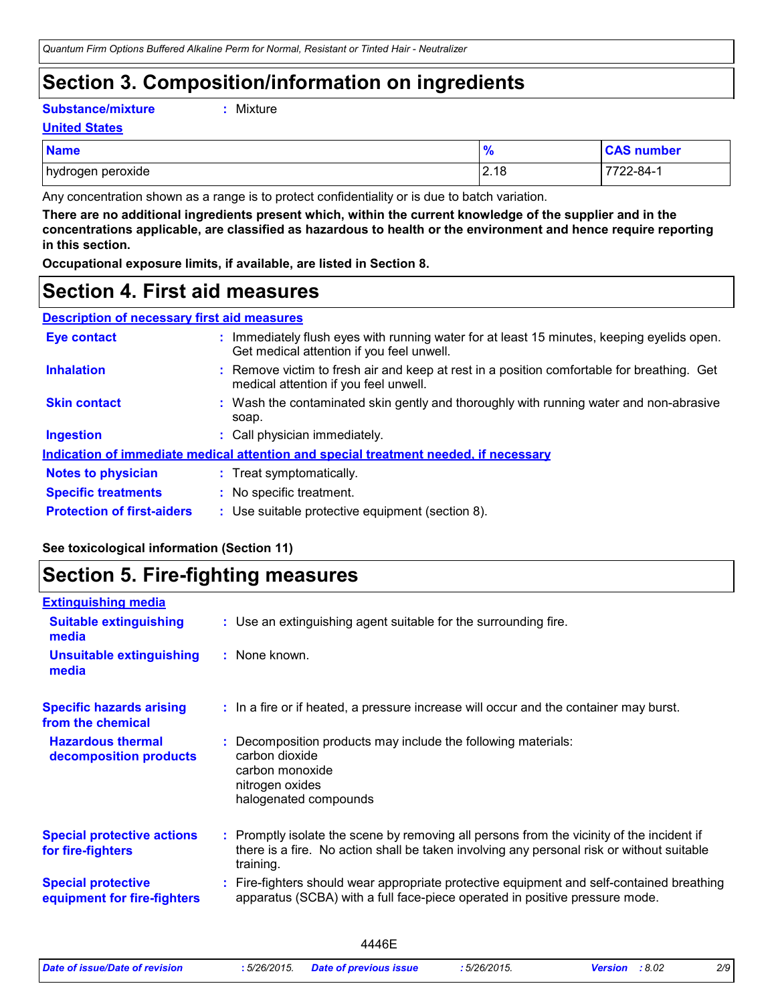### **Section 3. Composition/information on ingredients**

**Substance/mixture :**

```
: Mixture
```
**United States**

| <b>Name</b>       | 70   | <b>CAS number</b> |
|-------------------|------|-------------------|
| hydrogen peroxide | 2.18 | 7722-84-1         |

Any concentration shown as a range is to protect confidentiality or is due to batch variation.

**There are no additional ingredients present which, within the current knowledge of the supplier and in the concentrations applicable, are classified as hazardous to health or the environment and hence require reporting in this section.**

**Occupational exposure limits, if available, are listed in Section 8.**

### **Section 4. First aid measures**

| <b>Description of necessary first aid measures</b> |                                                                          |  |
|----------------------------------------------------|--------------------------------------------------------------------------|--|
| <b>Eve contact</b>                                 | : Immediately flush eyes with runi<br>Ost seedled effection if us a feel |  |

| <b>Eye contact</b>                | : Immediately flush eyes with running water for at least 15 minutes, keeping eyelids open.<br>Get medical attention if you feel unwell. |
|-----------------------------------|-----------------------------------------------------------------------------------------------------------------------------------------|
| <b>Inhalation</b>                 | : Remove victim to fresh air and keep at rest in a position comfortable for breathing. Get<br>medical attention if you feel unwell.     |
| <b>Skin contact</b>               | : Wash the contaminated skin gently and thoroughly with running water and non-abrasive<br>soap.                                         |
| <b>Ingestion</b>                  | : Call physician immediately.                                                                                                           |
|                                   | Indication of immediate medical attention and special treatment needed, if necessary                                                    |
| <b>Notes to physician</b>         | : Treat symptomatically.                                                                                                                |
| <b>Specific treatments</b>        | : No specific treatment.                                                                                                                |
| <b>Protection of first-aiders</b> | : Use suitable protective equipment (section 8).                                                                                        |

### **See toxicological information (Section 11)**

### **Section 5. Fire-fighting measures**

| <b>Extinguishing media</b>                               |                                                                                                                                                                                                     |
|----------------------------------------------------------|-----------------------------------------------------------------------------------------------------------------------------------------------------------------------------------------------------|
| <b>Suitable extinguishing</b><br>media                   | : Use an extinguishing agent suitable for the surrounding fire.                                                                                                                                     |
| <b>Unsuitable extinguishing</b><br>media                 | : None known.                                                                                                                                                                                       |
| <b>Specific hazards arising</b><br>from the chemical     | : In a fire or if heated, a pressure increase will occur and the container may burst.                                                                                                               |
| <b>Hazardous thermal</b><br>decomposition products       | Decomposition products may include the following materials:<br>carbon dioxide<br>carbon monoxide<br>nitrogen oxides<br>halogenated compounds                                                        |
| <b>Special protective actions</b><br>for fire-fighters   | : Promptly isolate the scene by removing all persons from the vicinity of the incident if<br>there is a fire. No action shall be taken involving any personal risk or without suitable<br>training. |
| <b>Special protective</b><br>equipment for fire-fighters | Fire-fighters should wear appropriate protective equipment and self-contained breathing<br>apparatus (SCBA) with a full face-piece operated in positive pressure mode.                              |
|                                                          |                                                                                                                                                                                                     |

|                                |              | 4446E                         |              |                       |     |
|--------------------------------|--------------|-------------------------------|--------------|-----------------------|-----|
| Date of issue/Date of revision | : 5/26/2015. | <b>Date of previous issue</b> | : 5/26/2015. | <b>Version</b> : 8.02 | 2/9 |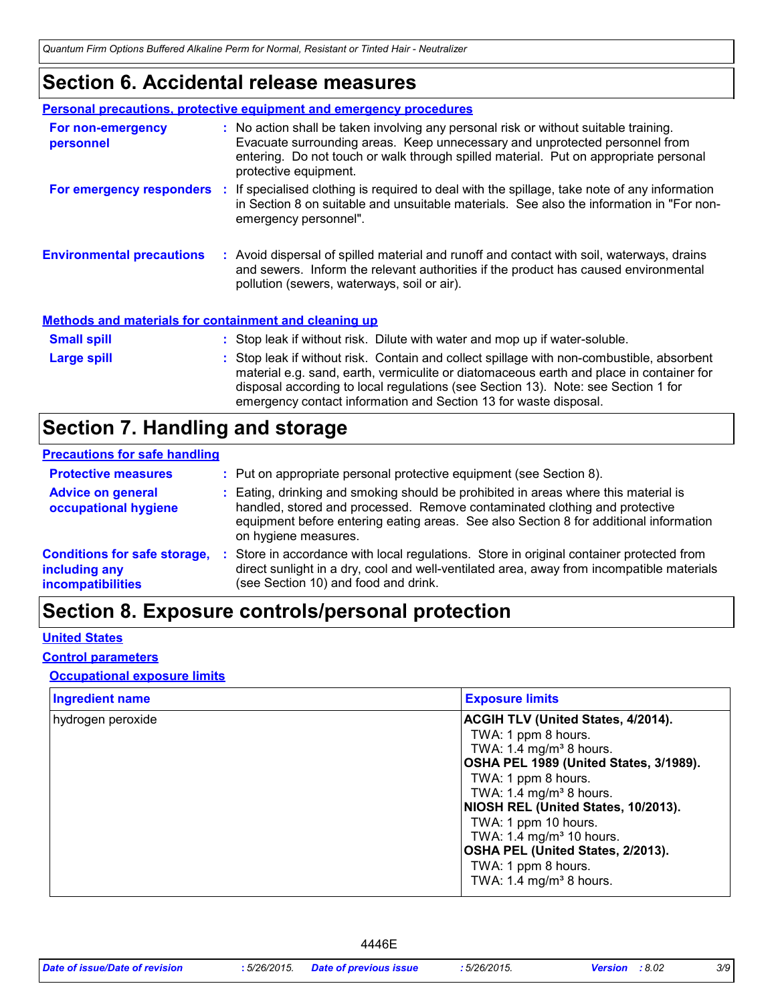### **Section 6. Accidental release measures**

|                                                              | <b>Personal precautions, protective equipment and emergency procedures</b>                                                                                                                                                                                                                                                                    |
|--------------------------------------------------------------|-----------------------------------------------------------------------------------------------------------------------------------------------------------------------------------------------------------------------------------------------------------------------------------------------------------------------------------------------|
| For non-emergency<br>personnel                               | : No action shall be taken involving any personal risk or without suitable training.<br>Evacuate surrounding areas. Keep unnecessary and unprotected personnel from<br>entering. Do not touch or walk through spilled material. Put on appropriate personal<br>protective equipment.                                                          |
|                                                              | <b>For emergency responders</b> : If specialised clothing is required to deal with the spillage, take note of any information<br>in Section 8 on suitable and unsuitable materials. See also the information in "For non-<br>emergency personnel".                                                                                            |
| <b>Environmental precautions</b>                             | : Avoid dispersal of spilled material and runoff and contact with soil, waterways, drains<br>and sewers. Inform the relevant authorities if the product has caused environmental<br>pollution (sewers, waterways, soil or air).                                                                                                               |
| <b>Methods and materials for containment and cleaning up</b> |                                                                                                                                                                                                                                                                                                                                               |
| <b>Small spill</b>                                           | : Stop leak if without risk. Dilute with water and mop up if water-soluble.                                                                                                                                                                                                                                                                   |
| Large spill                                                  | : Stop leak if without risk. Contain and collect spillage with non-combustible, absorbent<br>material e.g. sand, earth, vermiculite or diatomaceous earth and place in container for<br>disposal according to local regulations (see Section 13). Note: see Section 1 for<br>emergency contact information and Section 13 for waste disposal. |

### **Section 7. Handling and storage**

#### **Precautions for safe handling**

| <b>Protective measures</b>                                                       | : Put on appropriate personal protective equipment (see Section 8).                                                                                                                                                                                                                |
|----------------------------------------------------------------------------------|------------------------------------------------------------------------------------------------------------------------------------------------------------------------------------------------------------------------------------------------------------------------------------|
| <b>Advice on general</b><br>occupational hygiene                                 | : Eating, drinking and smoking should be prohibited in areas where this material is<br>handled, stored and processed. Remove contaminated clothing and protective<br>equipment before entering eating areas. See also Section 8 for additional information<br>on hygiene measures. |
| <b>Conditions for safe storage,</b><br>including any<br><b>incompatibilities</b> | Store in accordance with local regulations. Store in original container protected from<br>direct sunlight in a dry, cool and well-ventilated area, away from incompatible materials<br>(see Section 10) and food and drink.                                                        |

## **Section 8. Exposure controls/personal protection**

#### **United States**

#### **Control parameters**

#### **Occupational exposure limits**

| <b>Ingredient name</b> | <b>Exposure limits</b>                                                                                                                                                                                                                                 |
|------------------------|--------------------------------------------------------------------------------------------------------------------------------------------------------------------------------------------------------------------------------------------------------|
| hydrogen peroxide      | <b>ACGIH TLV (United States, 4/2014).</b><br>TWA: 1 ppm 8 hours.<br>TWA: 1.4 mg/m <sup>3</sup> 8 hours.<br>OSHA PEL 1989 (United States, 3/1989).<br>TWA: 1 ppm 8 hours.<br>TWA: 1.4 mg/m <sup>3</sup> 8 hours.<br>NIOSH REL (United States, 10/2013). |
|                        | TWA: 1 ppm 10 hours.<br>TWA: 1.4 mg/m <sup>3</sup> 10 hours.<br>OSHA PEL (United States, 2/2013).<br>TWA: 1 ppm 8 hours.<br>TWA: $1.4 \text{ mg/m}^3$ 8 hours.                                                                                         |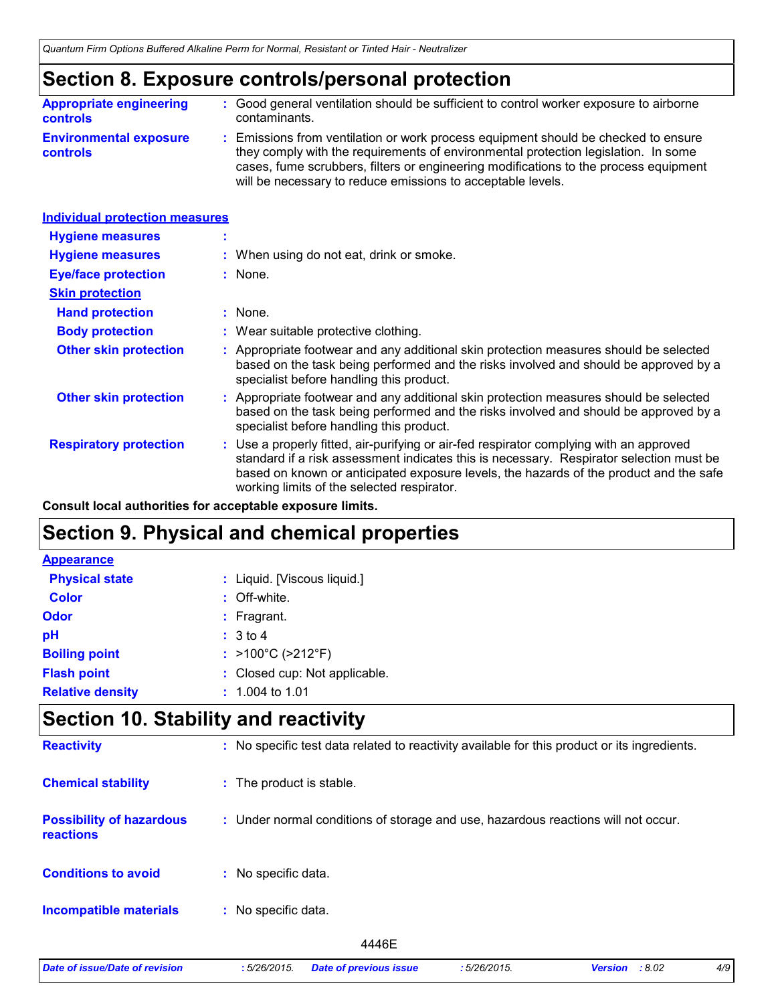### **Section 8. Exposure controls/personal protection**

| <b>Appropriate engineering</b>                   | : Good general ventilation should be sufficient to control worker exposure to airborne                                                                                                                                                                                                                                          |
|--------------------------------------------------|---------------------------------------------------------------------------------------------------------------------------------------------------------------------------------------------------------------------------------------------------------------------------------------------------------------------------------|
| <b>controls</b>                                  | contaminants.                                                                                                                                                                                                                                                                                                                   |
| <b>Environmental exposure</b><br><b>controls</b> | : Emissions from ventilation or work process equipment should be checked to ensure<br>they comply with the requirements of environmental protection legislation. In some<br>cases, fume scrubbers, filters or engineering modifications to the process equipment<br>will be necessary to reduce emissions to acceptable levels. |

| : When using do not eat, drink or smoke.                                                                                                                                                                                                                                                                                   |
|----------------------------------------------------------------------------------------------------------------------------------------------------------------------------------------------------------------------------------------------------------------------------------------------------------------------------|
| $:$ None.                                                                                                                                                                                                                                                                                                                  |
|                                                                                                                                                                                                                                                                                                                            |
| : None.                                                                                                                                                                                                                                                                                                                    |
| : Wear suitable protective clothing.                                                                                                                                                                                                                                                                                       |
| Appropriate footwear and any additional skin protection measures should be selected<br>based on the task being performed and the risks involved and should be approved by a<br>specialist before handling this product.                                                                                                    |
| Appropriate footwear and any additional skin protection measures should be selected<br>based on the task being performed and the risks involved and should be approved by a<br>specialist before handling this product.                                                                                                    |
| : Use a properly fitted, air-purifying or air-fed respirator complying with an approved<br>standard if a risk assessment indicates this is necessary. Respirator selection must be<br>based on known or anticipated exposure levels, the hazards of the product and the safe<br>working limits of the selected respirator. |
| <b>Individual protection measures</b>                                                                                                                                                                                                                                                                                      |

**Consult local authorities for acceptable exposure limits.**

### **Section 9. Physical and chemical properties**

| <b>Appearance</b>       |                               |
|-------------------------|-------------------------------|
| <b>Physical state</b>   | : Liquid. [Viscous liquid.]   |
| <b>Color</b>            | : Off-white.                  |
| <b>Odor</b>             | $:$ Fragrant.                 |
| pH                      | : 3 to 4                      |
| <b>Boiling point</b>    | : >100°C (>212°F)             |
| <b>Flash point</b>      | : Closed cup: Not applicable. |
| <b>Relative density</b> | $: 1.004$ to 1.01             |

### **Section 10. Stability and reactivity**

| <b>Reactivity</b>                            | : No specific test data related to reactivity available for this product or its ingredients. |
|----------------------------------------------|----------------------------------------------------------------------------------------------|
| <b>Chemical stability</b>                    | : The product is stable.                                                                     |
| <b>Possibility of hazardous</b><br>reactions | : Under normal conditions of storage and use, hazardous reactions will not occur.            |
| <b>Conditions to avoid</b>                   | : No specific data.                                                                          |
| <b>Incompatible materials</b>                | No specific data.<br>÷.                                                                      |
|                                              | 4446E                                                                                        |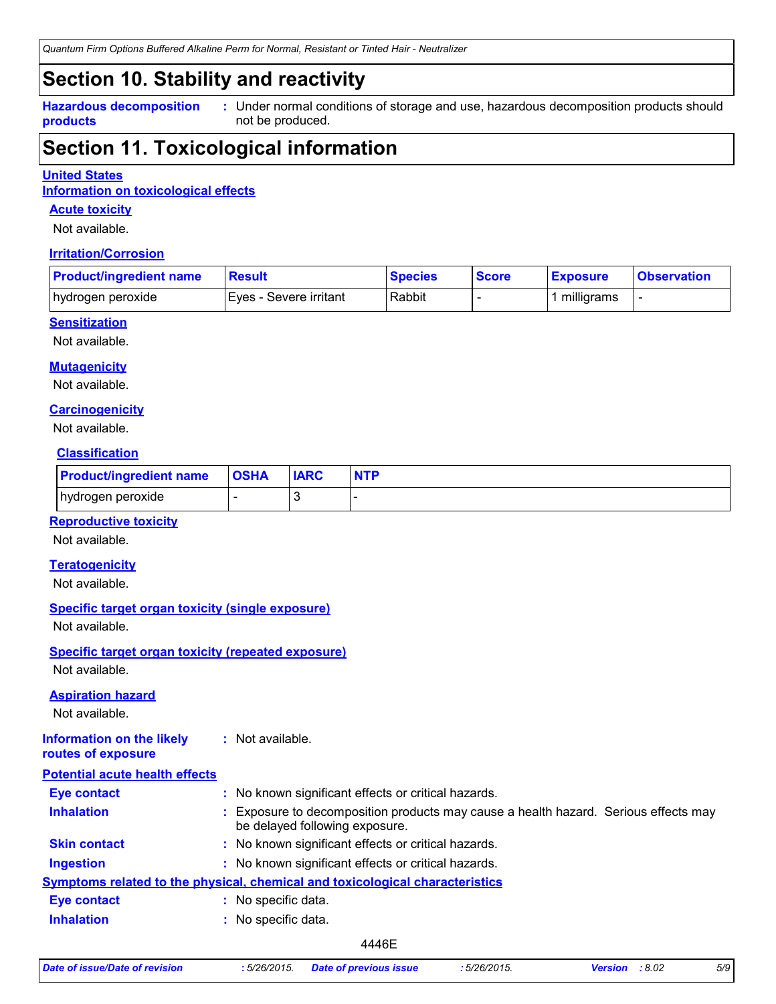### **Section 10. Stability and reactivity**

**Hazardous decomposition products**

Under normal conditions of storage and use, hazardous decomposition products should **:** not be produced.

### **Section 11. Toxicological information**

#### **United States**

**Information on toxicological effects**

#### **Acute toxicity**

Not available.

#### **Irritation/Corrosion**

| <b>Product/ingredient name</b> | <b>Result</b>            | <b>Species</b> | <b>Score</b> | <b>Exposure</b> | <b>Observation</b> |
|--------------------------------|--------------------------|----------------|--------------|-----------------|--------------------|
| hydrogen peroxide              | I Eves - Severe irritant | Rabbit         |              | milligrams      |                    |

#### **Sensitization**

Not available.

#### **Mutagenicity**

Not available.

#### **Carcinogenicity**

Not available.

#### **Classification**

| <b>Product/ingredient name</b> | <b>OSHA</b> | <b>IARC</b> | <b>NTP</b> |
|--------------------------------|-------------|-------------|------------|
| hydrogen peroxide              | -           |             |            |

#### **Reproductive toxicity**

Not available.

#### **Teratogenicity**

Not available.

#### **Specific target organ toxicity (single exposure)**

Not available.

### **Specific target organ toxicity (repeated exposure)**

Not available.

#### **Aspiration hazard**

Not available.

#### **Information on the likely routes of exposure :** Not available.

| <b>Potential acute health effects</b> |                                                                                                                       |
|---------------------------------------|-----------------------------------------------------------------------------------------------------------------------|
| <b>Eye contact</b>                    | : No known significant effects or critical hazards.                                                                   |
| <b>Inhalation</b>                     | : Exposure to decomposition products may cause a health hazard. Serious effects may<br>be delayed following exposure. |
| <b>Skin contact</b>                   | : No known significant effects or critical hazards.                                                                   |
| <b>Ingestion</b>                      | : No known significant effects or critical hazards.                                                                   |
|                                       | <b>Symptoms related to the physical, chemical and toxicological characteristics</b>                                   |
| <b>Eye contact</b>                    | No specific data.                                                                                                     |
| <b>Inhalation</b>                     | No specific data.                                                                                                     |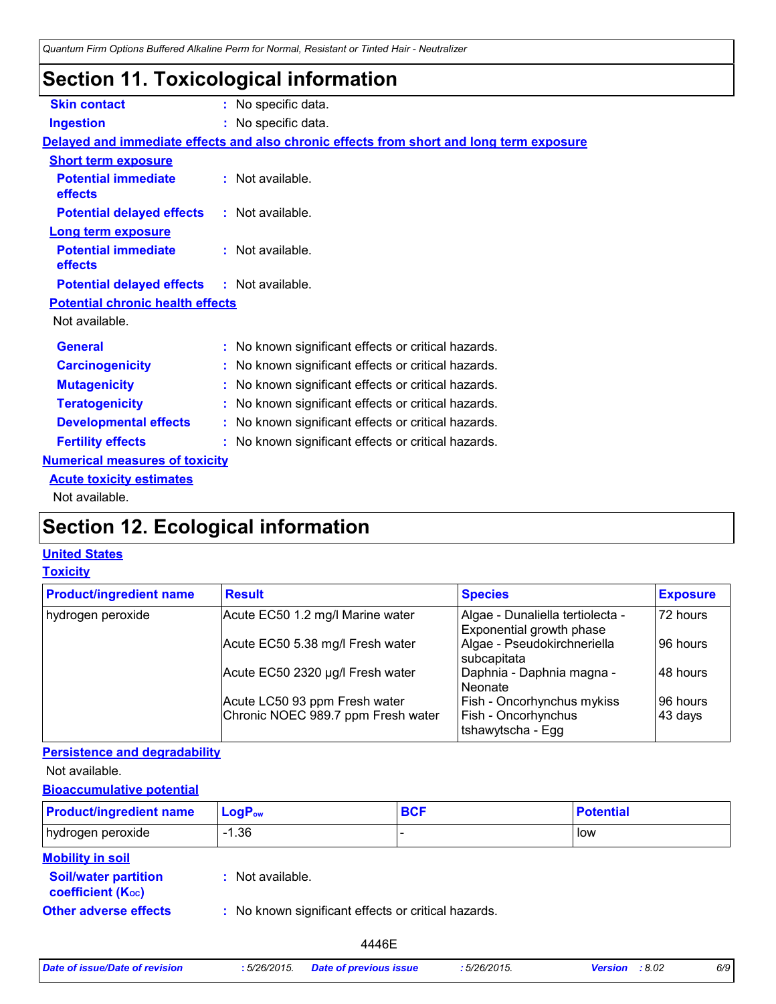### **Section 11. Toxicological information**

| <b>Skin contact</b>                               | : No specific data.                                                                      |
|---------------------------------------------------|------------------------------------------------------------------------------------------|
| <b>Ingestion</b>                                  | : No specific data.                                                                      |
|                                                   | Delayed and immediate effects and also chronic effects from short and long term exposure |
| <b>Short term exposure</b>                        |                                                                                          |
| <b>Potential immediate</b><br>effects             | : Not available.                                                                         |
| <b>Potential delayed effects</b>                  | : Not available.                                                                         |
| <b>Long term exposure</b>                         |                                                                                          |
| <b>Potential immediate</b><br>effects             | : Not available.                                                                         |
| <b>Potential delayed effects : Not available.</b> |                                                                                          |
| <b>Potential chronic health effects</b>           |                                                                                          |
| Not available.                                    |                                                                                          |
| <b>General</b>                                    | : No known significant effects or critical hazards.                                      |
| <b>Carcinogenicity</b>                            | : No known significant effects or critical hazards.                                      |
| <b>Mutagenicity</b>                               | : No known significant effects or critical hazards.                                      |
| <b>Teratogenicity</b>                             | : No known significant effects or critical hazards.                                      |
| <b>Developmental effects</b>                      | : No known significant effects or critical hazards.                                      |
| <b>Fertility effects</b>                          | : No known significant effects or critical hazards.                                      |
| <b>Numerical measures of toxicity</b>             |                                                                                          |
| <b>Acute toxicity estimates</b>                   |                                                                                          |
| Not available.                                    |                                                                                          |

## **Section 12. Ecological information**

### **United States**

#### **Toxicity**

| <b>Product/ingredient name</b> | <b>Result</b>                      | <b>Species</b>                                               | <b>Exposure</b> |
|--------------------------------|------------------------------------|--------------------------------------------------------------|-----------------|
| hydrogen peroxide              | Acute EC50 1.2 mg/l Marine water   | Algae - Dunaliella tertiolecta -<br>Exponential growth phase | 72 hours        |
|                                | Acute EC50 5.38 mg/l Fresh water   | Algae - Pseudokirchneriella<br>subcapitata                   | 96 hours        |
|                                | Acute EC50 2320 µg/l Fresh water   | Daphnia - Daphnia magna -<br>Neonate                         | 48 hours        |
|                                | Acute LC50 93 ppm Fresh water      | Fish - Oncorhynchus mykiss                                   | 96 hours        |
|                                | Chronic NOEC 989.7 ppm Fresh water | Fish - Oncorhynchus<br>Itshawytscha - Egg                    | 43 days         |

#### **Persistence and degradability**

Not available.

#### **Bioaccumulative potential**

| <b>Product/ingredient name</b>                           | $LogP_{ow}$                                         | <b>BCF</b> | <b>Potential</b> |
|----------------------------------------------------------|-----------------------------------------------------|------------|------------------|
| hydrogen peroxide                                        | $-1.36$                                             |            | low              |
| <b>Mobility in soil</b><br><b>Soil/water partition</b>   | : Not available.                                    |            |                  |
| <b>coefficient (Koc)</b><br><b>Other adverse effects</b> | : No known significant effects or critical hazards. |            |                  |

| Date of issue/Date of revision | :5/26/2015. | <b>Date of previous issue</b> |
|--------------------------------|-------------|-------------------------------|
|--------------------------------|-------------|-------------------------------|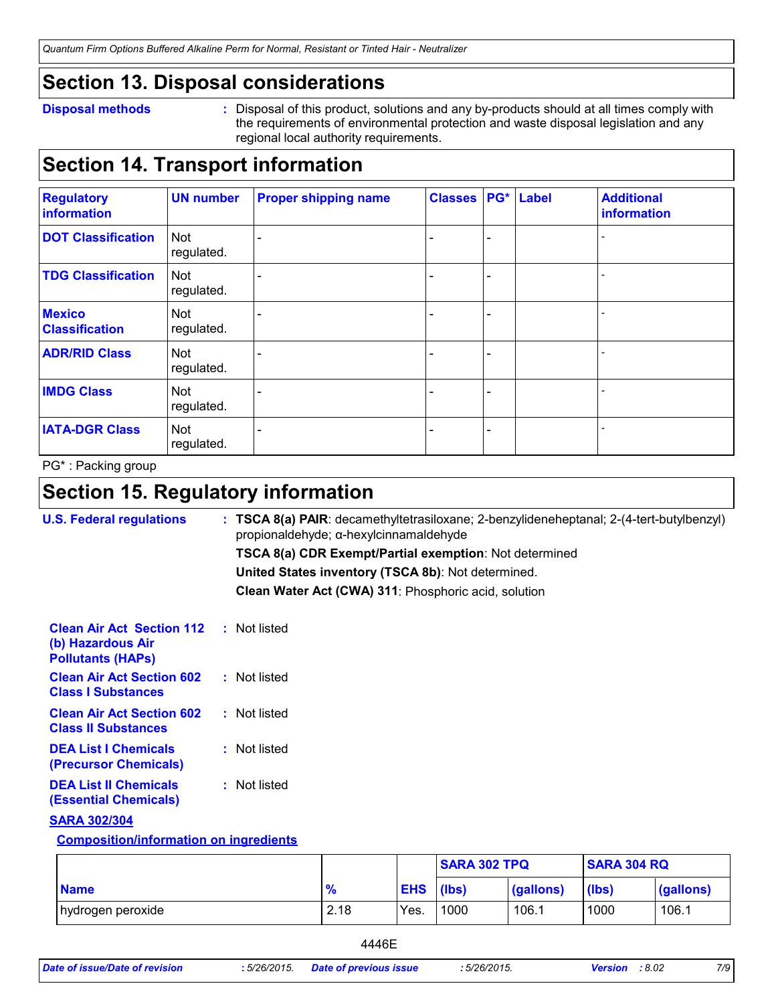### **Section 13. Disposal considerations**

#### **Disposal methods :**

Disposal of this product, solutions and any by-products should at all times comply with the requirements of environmental protection and waste disposal legislation and any regional local authority requirements.

### **Section 14. Transport information**

| <b>Regulatory</b><br>information       | <b>UN number</b>         | <b>Proper shipping name</b> | <b>Classes</b> |                          | PG* Label | <b>Additional</b><br>information |
|----------------------------------------|--------------------------|-----------------------------|----------------|--------------------------|-----------|----------------------------------|
| <b>DOT Classification</b>              | <b>Not</b><br>regulated. |                             |                | $\overline{\phantom{0}}$ |           |                                  |
| <b>TDG Classification</b>              | <b>Not</b><br>regulated. |                             |                | -                        |           |                                  |
| <b>Mexico</b><br><b>Classification</b> | Not<br>regulated.        |                             |                | $\overline{\phantom{a}}$ |           |                                  |
| <b>ADR/RID Class</b>                   | <b>Not</b><br>regulated. |                             |                | -                        |           |                                  |
| <b>IMDG Class</b>                      | Not<br>regulated.        |                             |                | -                        |           |                                  |
| <b>IATA-DGR Class</b>                  | <b>Not</b><br>regulated. |                             |                | -                        |           |                                  |

PG\* : Packing group

### **Section 15. Regulatory information**

| <b>U.S. Federal regulations</b>                                                   | $:$ TSCA 8(a) PAIR: decamethyltetrasiloxane; 2-benzylideneheptanal; 2-(4-tert-butylbenzyl)<br>propionaldehyde; α-hexylcinnamaldehyde |
|-----------------------------------------------------------------------------------|--------------------------------------------------------------------------------------------------------------------------------------|
|                                                                                   | TSCA 8(a) CDR Exempt/Partial exemption: Not determined                                                                               |
|                                                                                   | United States inventory (TSCA 8b): Not determined.                                                                                   |
|                                                                                   | Clean Water Act (CWA) 311: Phosphoric acid, solution                                                                                 |
| <b>Clean Air Act Section 112</b><br>(b) Hazardous Air<br><b>Pollutants (HAPS)</b> | : Not listed                                                                                                                         |
| <b>Clean Air Act Section 602</b><br><b>Class I Substances</b>                     | : Not listed                                                                                                                         |
| <b>Clean Air Act Section 602</b><br><b>Class II Substances</b>                    | : Not listed                                                                                                                         |
| <b>DEA List I Chemicals</b><br>(Precursor Chemicals)                              | : Not listed                                                                                                                         |
| <b>DEA List II Chemicals</b><br><b>(Essential Chemicals)</b>                      | : Not listed                                                                                                                         |
| <b>SARA 302/304</b>                                                               |                                                                                                                                      |
| <b>Composition/information on ingredients</b>                                     |                                                                                                                                      |

|                   |               |                  | <b>SARA 302 TPQ</b> |                   | <b>SARA 304 RQ</b> |           |
|-------------------|---------------|------------------|---------------------|-------------------|--------------------|-----------|
| <b>Name</b>       | $\frac{9}{6}$ | <b>EHS</b> (lbs) |                     | $\vert$ (gallons) | (lbs)              | (gallons) |
| hydrogen peroxide | 2.18          | Yes.             | 1000                | 106.1             | 1000               | 106.1     |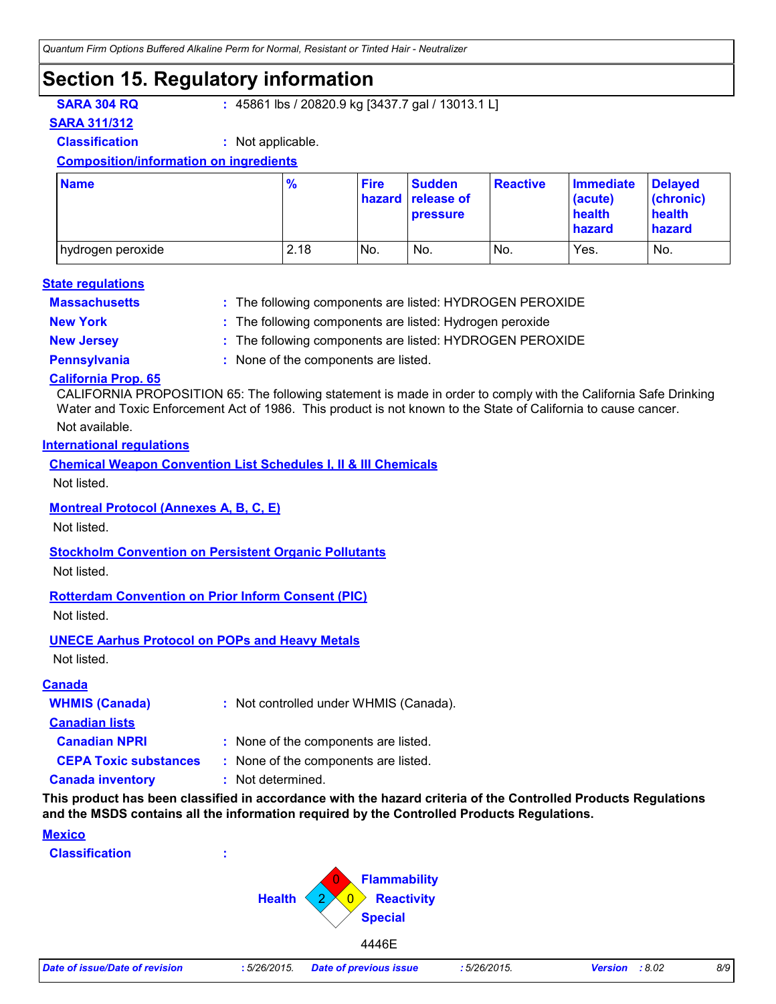### **Section 15. Regulatory information**

**SARA 304 RQ :** 45861 lbs / 20820.9 kg [3437.7 gal / 13013.1 L]

**SARA 311/312**

**Classification :** Not applicable.

#### **Composition/information on ingredients**

| <b>Name</b>       | $\frac{9}{6}$ | <b>Fire</b> | <b>Sudden</b><br>hazard release of<br><b>pressure</b> | <b>Reactive</b> | <b>Immediate</b><br>(acute)<br>health<br>hazard | <b>Delayed</b><br>(chronic)<br>health<br>hazard |
|-------------------|---------------|-------------|-------------------------------------------------------|-----------------|-------------------------------------------------|-------------------------------------------------|
| hydrogen peroxide | 2.18          | No.         | No.                                                   | No.             | Yes.                                            | No.                                             |

#### **Massachusetts : State regulations**

The following components are listed: HYDROGEN PEROXIDE

- 
- **New York :** The following components are listed: Hydrogen peroxide
- **New Jersey :** The following components are listed: HYDROGEN PEROXIDE
- 
- **Pennsylvania :** None of the components are listed.

#### **California Prop. 65**

CALIFORNIA PROPOSITION 65: The following statement is made in order to comply with the California Safe Drinking Water and Toxic Enforcement Act of 1986. This product is not known to the State of California to cause cancer.

#### Not available.

#### **International regulations**

**Chemical Weapon Convention List Schedules I, II & III Chemicals**

Not listed.

#### **Montreal Protocol (Annexes A, B, C, E)**

Not listed.

#### **Stockholm Convention on Persistent Organic Pollutants**

Not listed.

#### **Rotterdam Convention on Prior Inform Consent (PIC)**

Not listed.

#### **UNECE Aarhus Protocol on POPs and Heavy Metals**

Not listed.

#### **Canada**

| <b>WHMIS (Canada)</b>        | : Not controlled under WHMIS (Canada). |
|------------------------------|----------------------------------------|
| <b>Canadian lists</b>        |                                        |
| <b>Canadian NPRI</b>         | : None of the components are listed.   |
| <b>CEPA Toxic substances</b> | : None of the components are listed.   |
| <b>Canada inventory</b>      | : Not determined.                      |

**This product has been classified in accordance with the hazard criteria of the Controlled Products Regulations and the MSDS contains all the information required by the Controlled Products Regulations.**

#### **Mexico**

**Classification :**